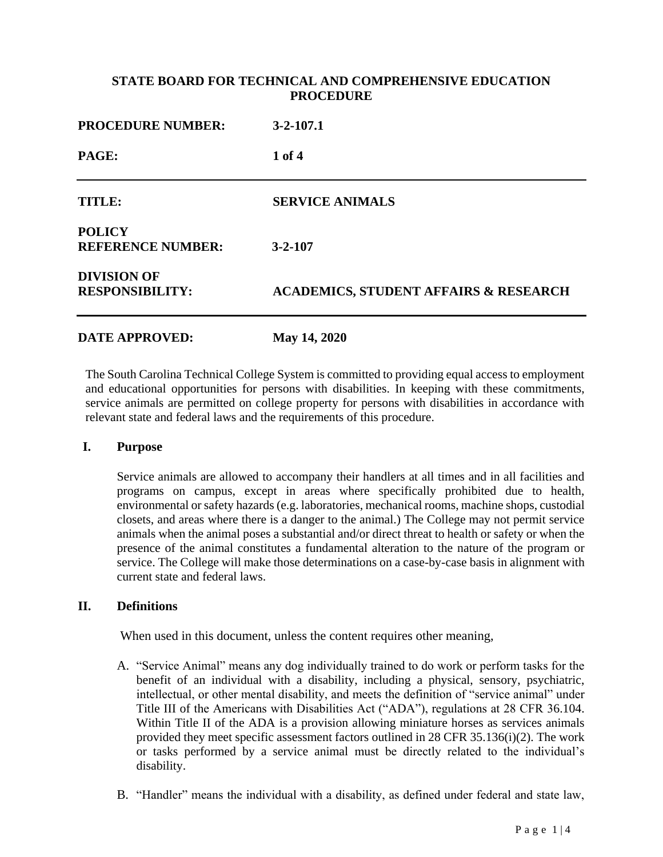### **STATE BOARD FOR TECHNICAL AND COMPREHENSIVE EDUCATION PROCEDURE**

| <b>PROCEDURE NUMBER:</b><br>PAGE:            | $3-2-107.1$<br>1 of 4                            |
|----------------------------------------------|--------------------------------------------------|
|                                              |                                                  |
| <b>POLICY</b><br><b>REFERENCE NUMBER:</b>    | $3 - 2 - 107$                                    |
| <b>DIVISION OF</b><br><b>RESPONSIBILITY:</b> | <b>ACADEMICS, STUDENT AFFAIRS &amp; RESEARCH</b> |
| <b>DATE APPROVED:</b>                        | May 14, 2020                                     |

# The South Carolina Technical College System is committed to providing equal access to employment and educational opportunities for persons with disabilities. In keeping with these commitments, service animals are permitted on college property for persons with disabilities in accordance with relevant state and federal laws and the requirements of this procedure.

#### **I. Purpose**

Service animals are allowed to accompany their handlers at all times and in all facilities and programs on campus, except in areas where specifically prohibited due to health, environmental or safety hazards (e.g. laboratories, mechanical rooms, machine shops, custodial closets, and areas where there is a danger to the animal.) The College may not permit service animals when the animal poses a substantial and/or direct threat to health or safety or when the presence of the animal constitutes a fundamental alteration to the nature of the program or service. The College will make those determinations on a case-by-case basis in alignment with current state and federal laws.

#### **II. Definitions**

When used in this document, unless the content requires other meaning,

- A. "Service Animal" means any dog individually trained to do work or perform tasks for the benefit of an individual with a disability, including a physical, sensory, psychiatric, intellectual, or other mental disability, and meets the definition of "service animal" under Title III of the Americans with Disabilities Act ("ADA"), regulations at 28 CFR 36.104. Within Title II of the ADA is a provision allowing miniature horses as services animals provided they meet specific assessment factors outlined in 28 CFR 35.136(i)(2). The work or tasks performed by a service animal must be directly related to the individual's disability.
- B. "Handler" means the individual with a disability, as defined under federal and state law,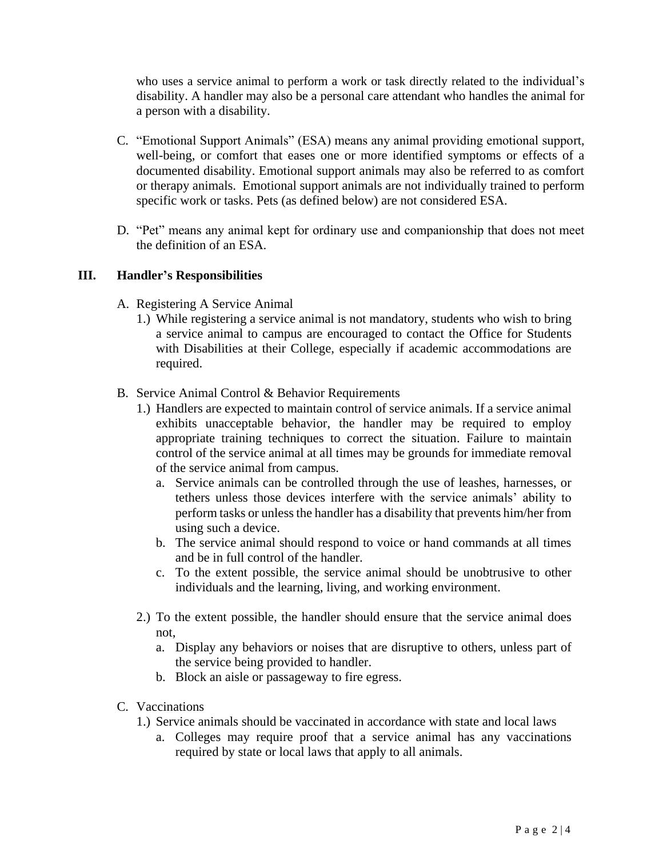who uses a service animal to perform a work or task directly related to the individual's disability. A handler may also be a personal care attendant who handles the animal for a person with a disability.

- C. "Emotional Support Animals" (ESA) means any animal providing emotional support, well-being, or comfort that eases one or more identified symptoms or effects of a documented disability. Emotional support animals may also be referred to as comfort or therapy animals. Emotional support animals are not individually trained to perform specific work or tasks. Pets (as defined below) are not considered ESA.
- D. "Pet" means any animal kept for ordinary use and companionship that does not meet the definition of an ESA.

### **III. Handler's Responsibilities**

- A. Registering A Service Animal
	- 1.) While registering a service animal is not mandatory, students who wish to bring a service animal to campus are encouraged to contact the Office for Students with Disabilities at their College, especially if academic accommodations are required.
- B. Service Animal Control & Behavior Requirements
	- 1.) Handlers are expected to maintain control of service animals. If a service animal exhibits unacceptable behavior, the handler may be required to employ appropriate training techniques to correct the situation. Failure to maintain control of the service animal at all times may be grounds for immediate removal of the service animal from campus.
		- a. Service animals can be controlled through the use of leashes, harnesses, or tethers unless those devices interfere with the service animals' ability to perform tasks or unless the handler has a disability that prevents him/her from using such a device.
		- b. The service animal should respond to voice or hand commands at all times and be in full control of the handler.
		- c. To the extent possible, the service animal should be unobtrusive to other individuals and the learning, living, and working environment.
	- 2.) To the extent possible, the handler should ensure that the service animal does not,
		- a. Display any behaviors or noises that are disruptive to others, unless part of the service being provided to handler.
		- b. Block an aisle or passageway to fire egress.
- C. Vaccinations
	- 1.) Service animals should be vaccinated in accordance with state and local laws
		- a. Colleges may require proof that a service animal has any vaccinations required by state or local laws that apply to all animals.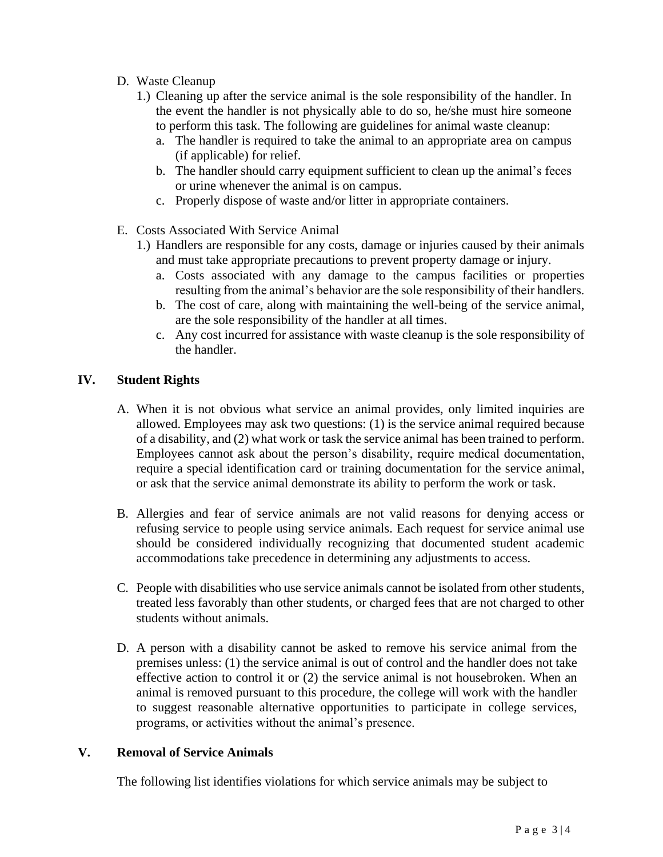- D. Waste Cleanup
	- 1.) Cleaning up after the service animal is the sole responsibility of the handler. In the event the handler is not physically able to do so, he/she must hire someone to perform this task. The following are guidelines for animal waste cleanup:
		- a. The handler is required to take the animal to an appropriate area on campus (if applicable) for relief.
		- b. The handler should carry equipment sufficient to clean up the animal's feces or urine whenever the animal is on campus.
		- c. Properly dispose of waste and/or litter in appropriate containers.
- E. Costs Associated With Service Animal
	- 1.) Handlers are responsible for any costs, damage or injuries caused by their animals and must take appropriate precautions to prevent property damage or injury.
		- a. Costs associated with any damage to the campus facilities or properties resulting from the animal's behavior are the sole responsibility of their handlers.
		- b. The cost of care, along with maintaining the well-being of the service animal, are the sole responsibility of the handler at all times.
		- c. Any cost incurred for assistance with waste cleanup is the sole responsibility of the handler.

# **IV. Student Rights**

- A. When it is not obvious what service an animal provides, only limited inquiries are allowed. Employees may ask two questions: (1) is the service animal required because of a disability, and (2) what work or task the service animal has been trained to perform. Employees cannot ask about the person's disability, require medical documentation, require a special identification card or training documentation for the service animal, or ask that the service animal demonstrate its ability to perform the work or task.
- B. Allergies and fear of service animals are not valid reasons for denying access or refusing service to people using service animals. Each request for service animal use should be considered individually recognizing that documented student academic accommodations take precedence in determining any adjustments to access.
- C. People with disabilities who use service animals cannot be isolated from other students, treated less favorably than other students, or charged fees that are not charged to other students without animals.
- D. A person with a disability cannot be asked to remove his service animal from the premises unless: (1) the service animal is out of control and the handler does not take effective action to control it or (2) the service animal is not housebroken. When an animal is removed pursuant to this procedure, the college will work with the handler to suggest reasonable alternative opportunities to participate in college services, programs, or activities without the animal's presence.

### **V. Removal of Service Animals**

The following list identifies violations for which service animals may be subject to